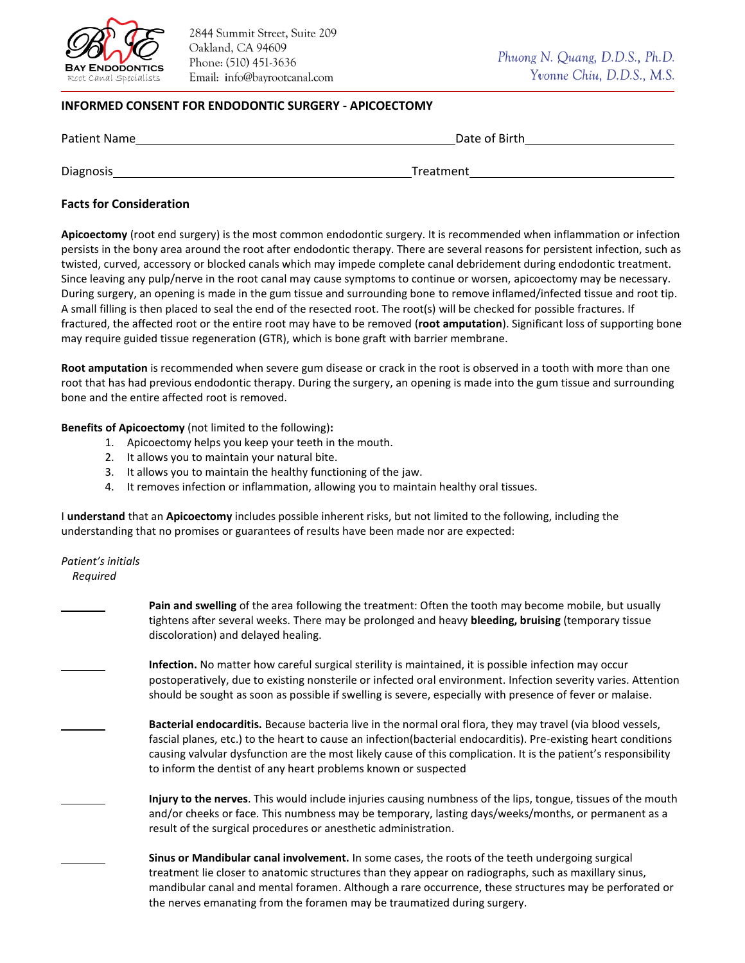

## **INFORMED CONSENT FOR ENDODONTIC SURGERY - APICOECTOMY**

| <b>Patient Name</b> | Date of Birth |  |  |
|---------------------|---------------|--|--|
|                     |               |  |  |
| Diagnosis           | Treatment     |  |  |

## **Facts for Consideration**

**Apicoectomy** (root end surgery) is the most common endodontic surgery. It is recommended when inflammation or infection persists in the bony area around the root after endodontic therapy. There are several reasons for persistent infection, such as twisted, curved, accessory or blocked canals which may impede complete canal debridement during endodontic treatment. Since leaving any pulp/nerve in the root canal may cause symptoms to continue or worsen, apicoectomy may be necessary. During surgery, an opening is made in the gum tissue and surrounding bone to remove inflamed/infected tissue and root tip. A small filling is then placed to seal the end of the resected root. The root(s) will be checked for possible fractures. If fractured, the affected root or the entire root may have to be removed (**root amputation**). Significant loss of supporting bone may require guided tissue regeneration (GTR), which is bone graft with barrier membrane.

**Root amputation** is recommended when severe gum disease or crack in the root is observed in a tooth with more than one root that has had previous endodontic therapy. During the surgery, an opening is made into the gum tissue and surrounding bone and the entire affected root is removed.

**Benefits of Apicoectomy** (not limited to the following)**:**

- 1. Apicoectomy helps you keep your teeth in the mouth.
- 2. It allows you to maintain your natural bite.
- 3. It allows you to maintain the healthy functioning of the jaw.
- 4. It removes infection or inflammation, allowing you to maintain healthy oral tissues.

I **understand** that an **Apicoectomy** includes possible inherent risks, but not limited to the following, including the understanding that no promises or guarantees of results have been made nor are expected:

## *Patient's initials Required*

**Pain and swelling** of the area following the treatment: Often the tooth may become mobile, but usually tightens after several weeks. There may be prolonged and heavy **bleeding, bruising** (temporary tissue discoloration) and delayed healing.

**Infection.** No matter how careful surgical sterility is maintained, it is possible infection may occur postoperatively, due to existing nonsterile or infected oral environment. Infection severity varies. Attention should be sought as soon as possible if swelling is severe, especially with presence of fever or malaise.

**Bacterial endocarditis.** Because bacteria live in the normal oral flora, they may travel (via blood vessels, fascial planes, etc.) to the heart to cause an infection(bacterial endocarditis). Pre-existing heart conditions causing valvular dysfunction are the most likely cause of this complication. It is the patient's responsibility to inform the dentist of any heart problems known or suspected

**Injury to the nerves**. This would include injuries causing numbness of the lips, tongue, tissues of the mouth and/or cheeks or face. This numbness may be temporary, lasting days/weeks/months, or permanent as a result of the surgical procedures or anesthetic administration.

**Sinus or Mandibular canal involvement.** In some cases, the roots of the teeth undergoing surgical treatment lie closer to anatomic structures than they appear on radiographs, such as maxillary sinus, mandibular canal and mental foramen. Although a rare occurrence, these structures may be perforated or the nerves emanating from the foramen may be traumatized during surgery.